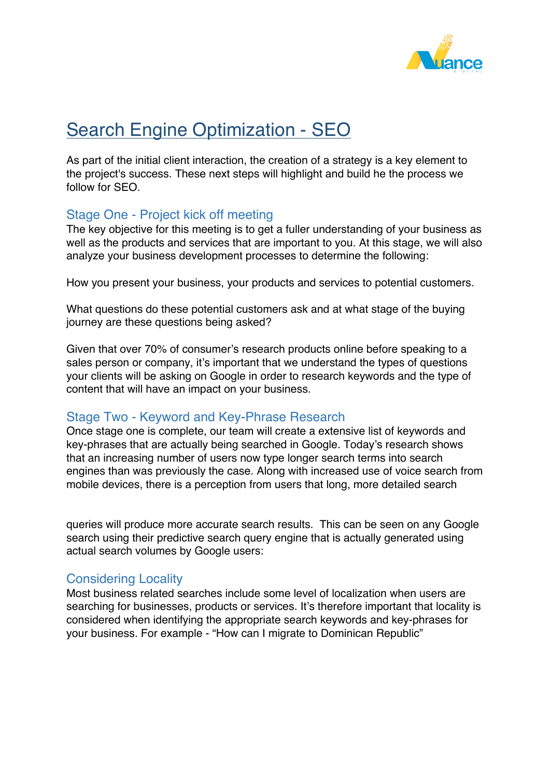

# Search Engine Optimization - SEO

As part of the initial client interaction, the creation of a strategy is a key element to the project's success. These next steps will highlight and build he the process we follow for SEO.

# Stage One - Project kick off meeting

The key objective for this meeting is to get a fuller understanding of your business as well as the products and services that are important to you. At this stage, we will also analyze your business development processes to determine the following:

How you present your business, your products and services to potential customers.

What questions do these potential customers ask and at what stage of the buying journey are these questions being asked?

Given that over 70% of consumer's research products online before speaking to a sales person or company, it's important that we understand the types of questions your clients will be asking on Google in order to research keywords and the type of content that will have an impact on your business.

# Stage Two - Keyword and Key-Phrase Research

Once stage one is complete, our team will create a extensive list of keywords and key-phrases that are actually being searched in Google. Today's research shows that an increasing number of users now type longer search terms into search engines than was previously the case. Along with increased use of voice search from mobile devices, there is a perception from users that long, more detailed search

queries will produce more accurate search results. This can be seen on any Google search using their predictive search query engine that is actually generated using actual search volumes by Google users:

# Considering Locality

Most business related searches include some level of localization when users are searching for businesses, products or services. It's therefore important that locality is considered when identifying the appropriate search keywords and key-phrases for your business. For example - "How can I migrate to Dominican Republic"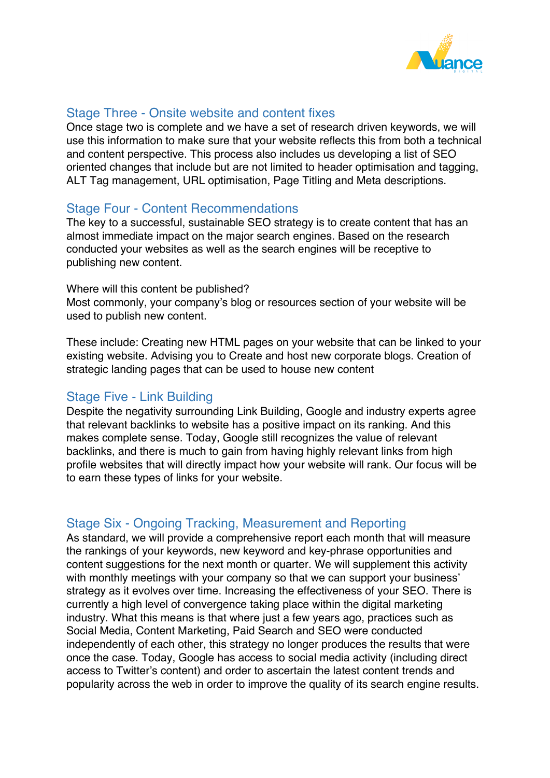

## Stage Three - Onsite website and content fixes

Once stage two is complete and we have a set of research driven keywords, we will use this information to make sure that your website reflects this from both a technical and content perspective. This process also includes us developing a list of SEO oriented changes that include but are not limited to header optimisation and tagging, ALT Tag management, URL optimisation, Page Titling and Meta descriptions.

### Stage Four - Content Recommendations

The key to a successful, sustainable SEO strategy is to create content that has an almost immediate impact on the major search engines. Based on the research conducted your websites as well as the search engines will be receptive to publishing new content.

#### Where will this content be published?

Most commonly, your company's blog or resources section of your website will be used to publish new content.

These include: Creating new HTML pages on your website that can be linked to your existing website. Advising you to Create and host new corporate blogs. Creation of strategic landing pages that can be used to house new content

# Stage Five - Link Building

Despite the negativity surrounding Link Building, Google and industry experts agree that relevant backlinks to website has a positive impact on its ranking. And this makes complete sense. Today, Google still recognizes the value of relevant backlinks, and there is much to gain from having highly relevant links from high profile websites that will directly impact how your website will rank. Our focus will be to earn these types of links for your website.

# Stage Six - Ongoing Tracking, Measurement and Reporting

As standard, we will provide a comprehensive report each month that will measure the rankings of your keywords, new keyword and key-phrase opportunities and content suggestions for the next month or quarter. We will supplement this activity with monthly meetings with your company so that we can support your business' strategy as it evolves over time. Increasing the effectiveness of your SEO. There is currently a high level of convergence taking place within the digital marketing industry. What this means is that where just a few years ago, practices such as Social Media, Content Marketing, Paid Search and SEO were conducted independently of each other, this strategy no longer produces the results that were once the case. Today, Google has access to social media activity (including direct access to Twitter's content) and order to ascertain the latest content trends and popularity across the web in order to improve the quality of its search engine results.